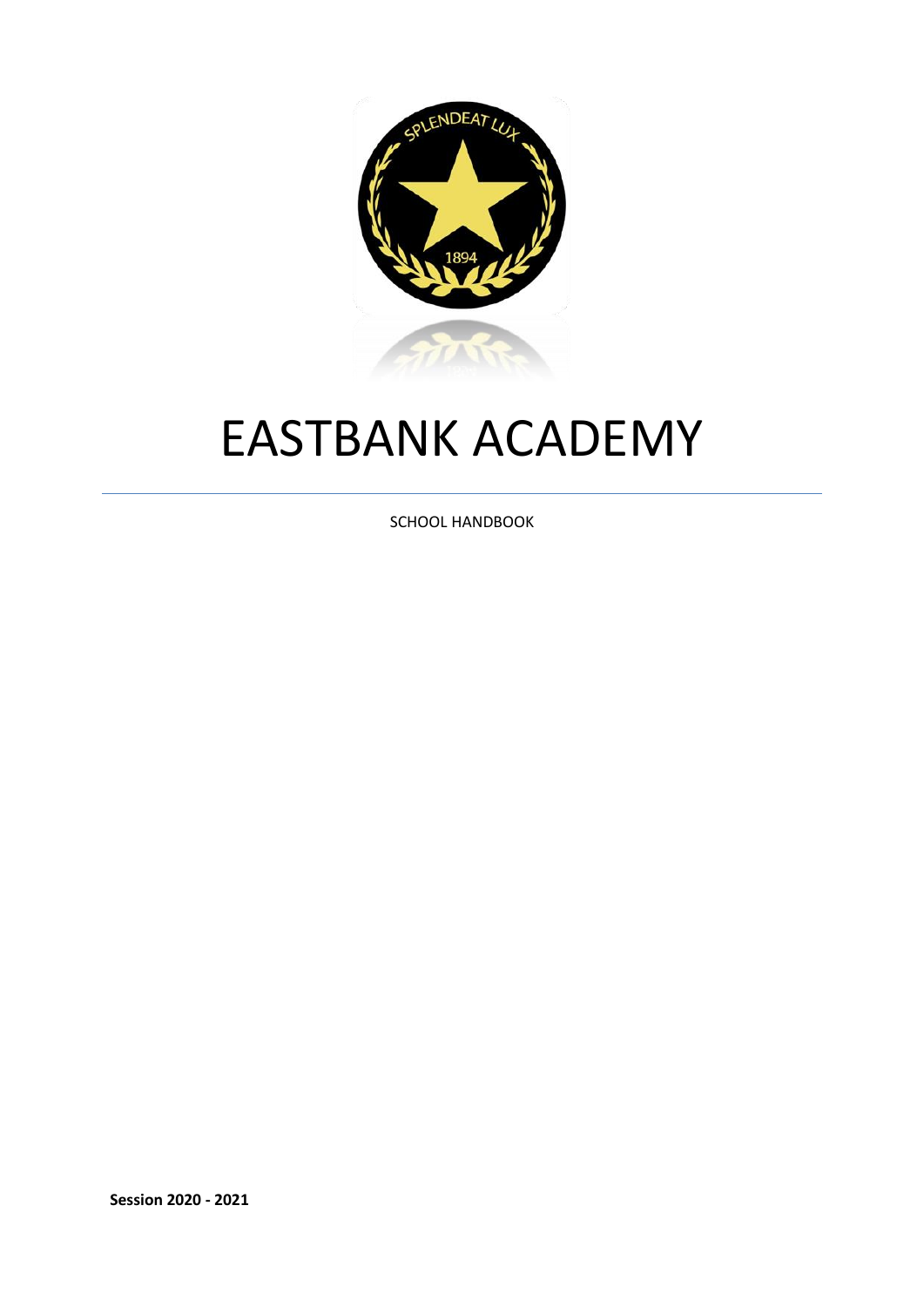

# EASTBANK ACADEMY

SCHOOL HANDBOOK

**Session 2020 - 2021**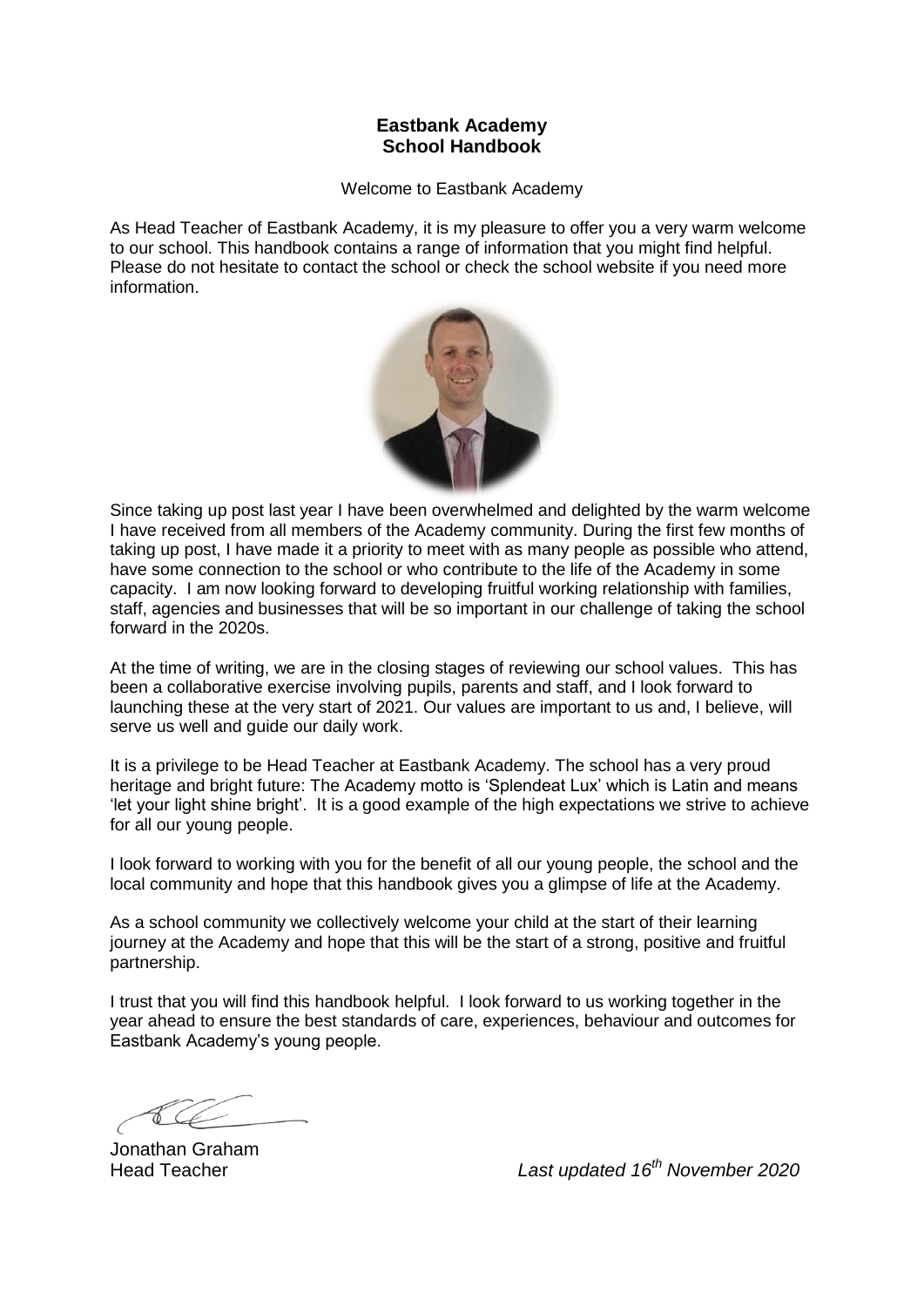# **Eastbank Academy School Handbook**

Welcome to Eastbank Academy

As Head Teacher of Eastbank Academy, it is my pleasure to offer you a very warm welcome to our school. This handbook contains a range of information that you might find helpful. Please do not hesitate to contact the school or check the school website if you need more information.



Since taking up post last year I have been overwhelmed and delighted by the warm welcome I have received from all members of the Academy community. During the first few months of taking up post, I have made it a priority to meet with as many people as possible who attend, have some connection to the school or who contribute to the life of the Academy in some capacity. I am now looking forward to developing fruitful working relationship with families, staff, agencies and businesses that will be so important in our challenge of taking the school forward in the 2020s.

At the time of writing, we are in the closing stages of reviewing our school values. This has been a collaborative exercise involving pupils, parents and staff, and I look forward to launching these at the very start of 2021. Our values are important to us and, I believe, will serve us well and guide our daily work.

It is a privilege to be Head Teacher at Eastbank Academy. The school has a very proud heritage and bright future: The Academy motto is 'Splendeat Lux' which is Latin and means 'let your light shine bright'. It is a good example of the high expectations we strive to achieve for all our young people.

I look forward to working with you for the benefit of all our young people, the school and the local community and hope that this handbook gives you a glimpse of life at the Academy.

As a school community we collectively welcome your child at the start of their learning journey at the Academy and hope that this will be the start of a strong, positive and fruitful partnership.

I trust that you will find this handbook helpful. I look forward to us working together in the year ahead to ensure the best standards of care, experiences, behaviour and outcomes for Eastbank Academy's young people.

Jonathan Graham

Head Teacher *Last updated 16th November 2020*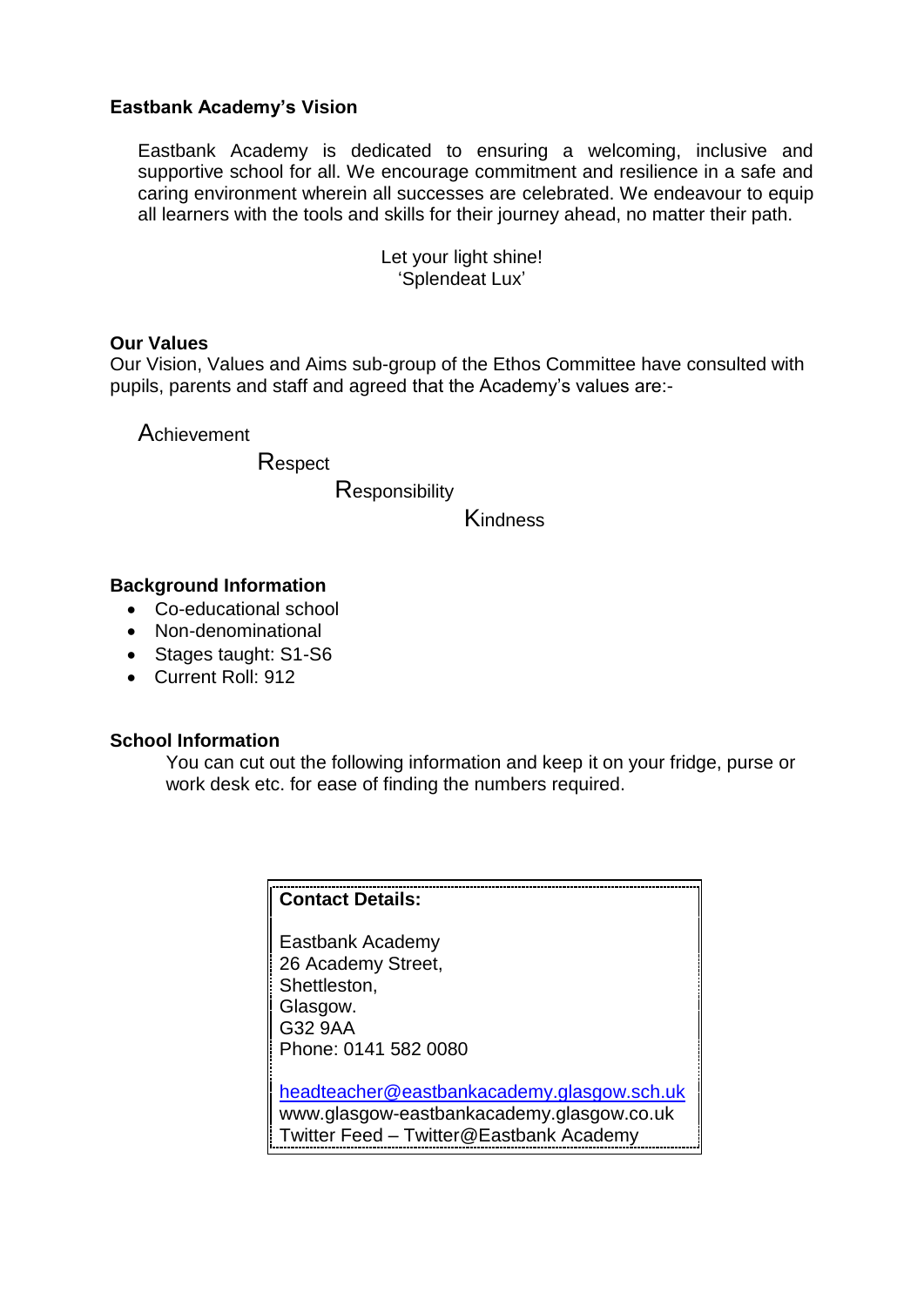# **Eastbank Academy's Vision**

Eastbank Academy is dedicated to ensuring a welcoming, inclusive and supportive school for all. We encourage commitment and resilience in a safe and caring environment wherein all successes are celebrated. We endeavour to equip all learners with the tools and skills for their journey ahead, no matter their path.

> Let your light shine! 'Splendeat Lux'

# **Our Values**

Our Vision, Values and Aims sub-group of the Ethos Committee have consulted with pupils, parents and staff and agreed that the Academy's values are:-

Achievement

Respect

**Responsibility** 

**Kindness** 

#### **Background Information**

- Co-educational school
- Non-denominational
- Stages taught: S1-S6
- Current Roll: 912

#### **School Information**

You can cut out the following information and keep it on your fridge, purse or work desk etc. for ease of finding the numbers required.

#### **Contact Details:**

Eastbank Academy 26 Academy Street, Shettleston, Glasgow. G32 9AA Phone: 0141 582 0080

[headteacher@eastbankacademy.glasgow.sch.uk](mailto:headteacher@eastbankacademy.glasgow.sch.uk) www.glasgow-eastbankacademy.glasgow.co.uk Twitter Feed – Twitter@Eastbank Academy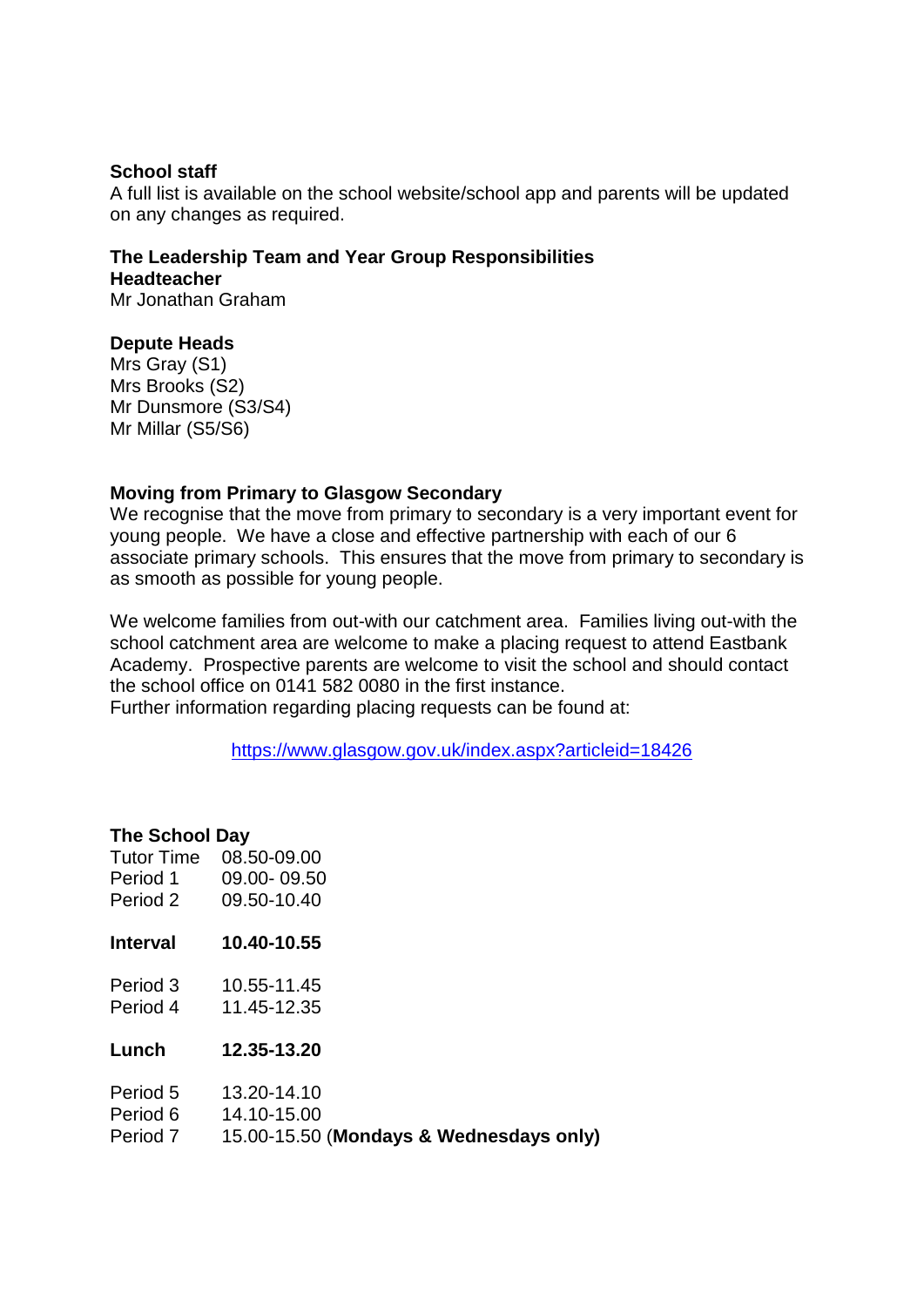#### **School staff**

A full list is available on the school website/school app and parents will be updated on any changes as required.

#### **The Leadership Team and Year Group Responsibilities Headteacher** Mr Jonathan Graham

#### **Depute Heads**

Mrs Gray (S1) Mrs Brooks (S2) Mr Dunsmore (S3/S4) Mr Millar (S5/S6)

#### **Moving from Primary to Glasgow Secondary**

We recognise that the move from primary to secondary is a very important event for young people. We have a close and effective partnership with each of our 6 associate primary schools. This ensures that the move from primary to secondary is as smooth as possible for young people.

We welcome families from out-with our catchment area. Families living out-with the school catchment area are welcome to make a placing request to attend Eastbank Academy. Prospective parents are welcome to visit the school and should contact the school office on 0141 582 0080 in the first instance.

Further information regarding placing requests can be found at:

<https://www.glasgow.gov.uk/index.aspx?articleid=18426>

# **The School Day**

| Tutor Time      | 08.50-09.00                             |
|-----------------|-----------------------------------------|
| Period 1        | 09.00-09.50                             |
| Period 2        | 09.50-10.40                             |
| <b>Interval</b> | 10.40-10.55                             |
| Period 3        | 10.55-11.45                             |
| Period 4        | 11.45-12.35                             |
| Lunch           | 12.35-13.20                             |
| Period 5        | 13.20-14.10                             |
| Period 6        | 14.10-15.00                             |
| Period 7        | 15.00-15.50 (Mondays & Wednesdays only) |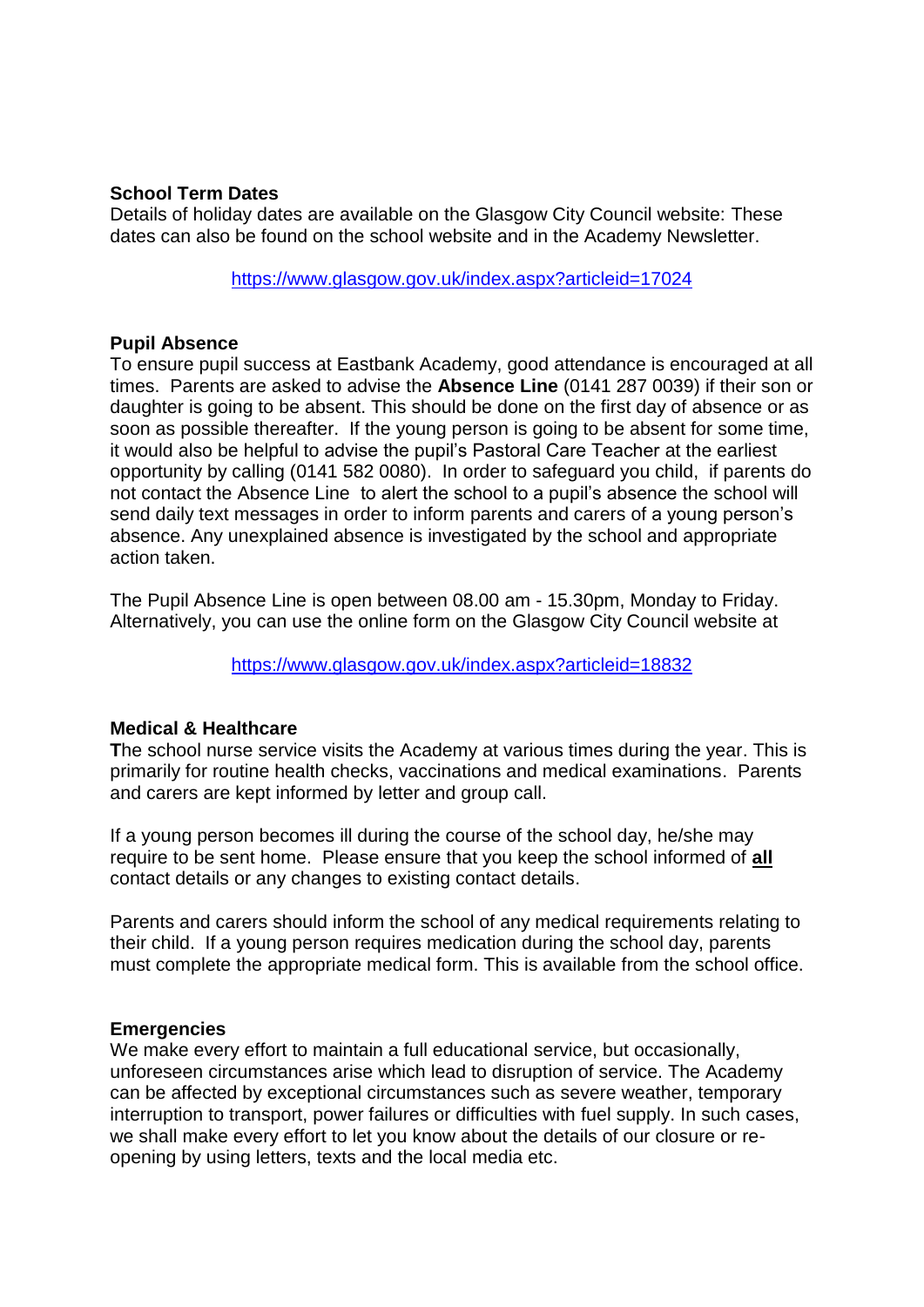#### **School Term Dates**

Details of holiday dates are available on the Glasgow City Council website: These dates can also be found on the school website and in the Academy Newsletter.

<https://www.glasgow.gov.uk/index.aspx?articleid=17024>

#### **Pupil Absence**

To ensure pupil success at Eastbank Academy, good attendance is encouraged at all times. Parents are asked to advise the **Absence Line** (0141 287 0039) if their son or daughter is going to be absent. This should be done on the first day of absence or as soon as possible thereafter. If the young person is going to be absent for some time, it would also be helpful to advise the pupil's Pastoral Care Teacher at the earliest opportunity by calling (0141 582 0080). In order to safeguard you child, if parents do not contact the Absence Line to alert the school to a pupil's absence the school will send daily text messages in order to inform parents and carers of a young person's absence. Any unexplained absence is investigated by the school and appropriate action taken.

The Pupil Absence Line is open between 08.00 am - 15.30pm, Monday to Friday. Alternatively, you can use the online form on the Glasgow City Council website at

<https://www.glasgow.gov.uk/index.aspx?articleid=18832>

# **Medical & Healthcare**

**T**he school nurse service visits the Academy at various times during the year. This is primarily for routine health checks, vaccinations and medical examinations. Parents and carers are kept informed by letter and group call.

If a young person becomes ill during the course of the school day, he/she may require to be sent home. Please ensure that you keep the school informed of **all** contact details or any changes to existing contact details.

Parents and carers should inform the school of any medical requirements relating to their child. If a young person requires medication during the school day, parents must complete the appropriate medical form. This is available from the school office.

# **Emergencies**

We make every effort to maintain a full educational service, but occasionally, unforeseen circumstances arise which lead to disruption of service. The Academy can be affected by exceptional circumstances such as severe weather, temporary interruption to transport, power failures or difficulties with fuel supply. In such cases, we shall make every effort to let you know about the details of our closure or reopening by using letters, texts and the local media etc.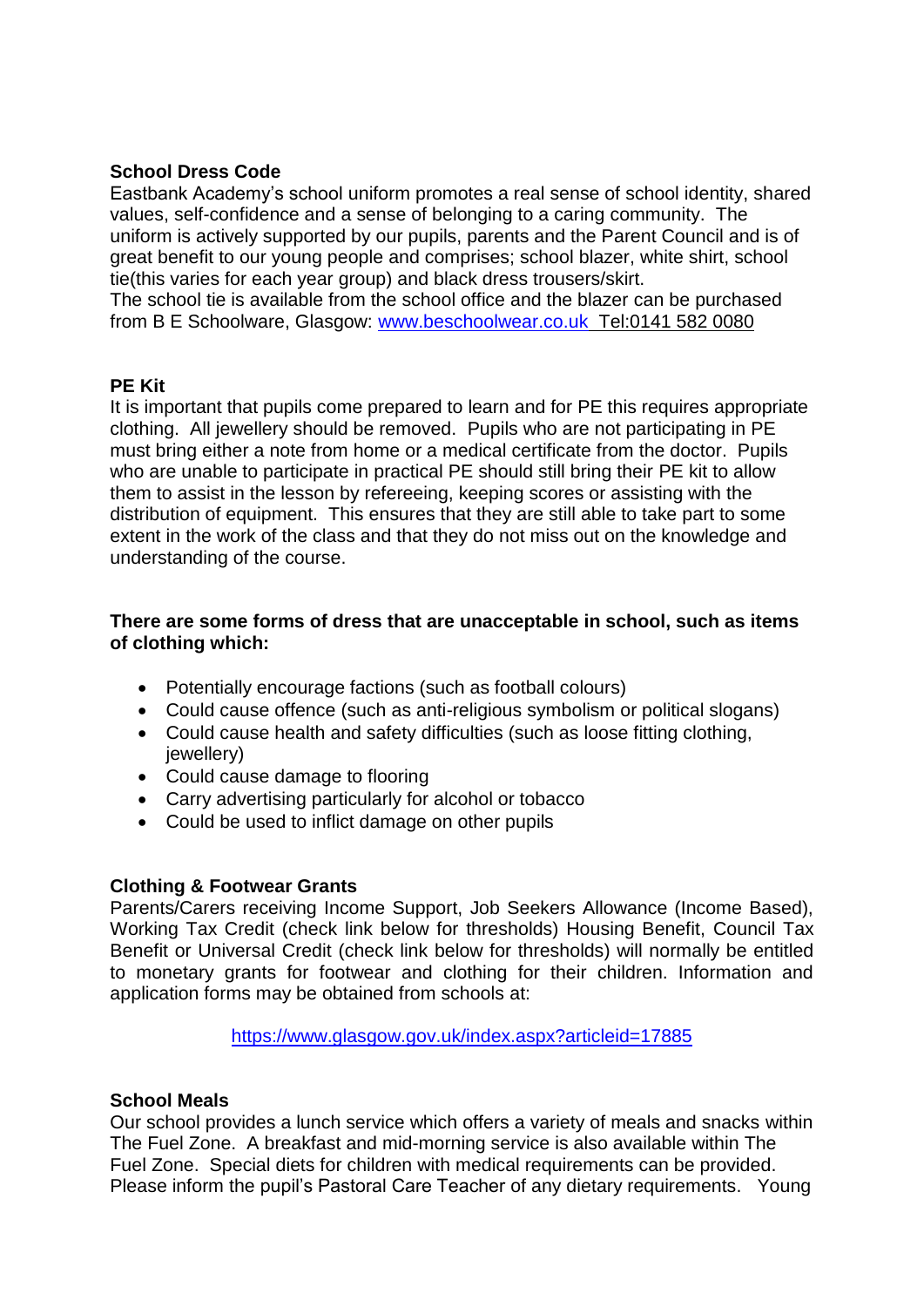# **School Dress Code**

Eastbank Academy's school uniform promotes a real sense of school identity, shared values, self-confidence and a sense of belonging to a caring community. The uniform is actively supported by our pupils, parents and the Parent Council and is of great benefit to our young people and comprises; school blazer, white shirt, school tie(this varies for each year group) and black dress trousers/skirt.

The school tie is available from the school office and the blazer can be purchased from B E Schoolware, Glasgow: [www.beschoolwear.co.uk](http://www.beschoolwear.co.uk/) [Tel:0141 582](Tel:0141%20582) 0080

# **PE Kit**

It is important that pupils come prepared to learn and for PE this requires appropriate clothing. All jewellery should be removed. Pupils who are not participating in PE must bring either a note from home or a medical certificate from the doctor. Pupils who are unable to participate in practical PE should still bring their PE kit to allow them to assist in the lesson by refereeing, keeping scores or assisting with the distribution of equipment. This ensures that they are still able to take part to some extent in the work of the class and that they do not miss out on the knowledge and understanding of the course.

# **There are some forms of dress that are unacceptable in school, such as items of clothing which:**

- Potentially encourage factions (such as football colours)
- Could cause offence (such as anti-religious symbolism or political slogans)
- Could cause health and safety difficulties (such as loose fitting clothing, jewellery)
- Could cause damage to flooring
- Carry advertising particularly for alcohol or tobacco
- Could be used to inflict damage on other pupils

# **Clothing & Footwear Grants**

Parents/Carers receiving Income Support, Job Seekers Allowance (Income Based), Working Tax Credit (check link below for thresholds) Housing Benefit, Council Tax Benefit or Universal Credit (check link below for thresholds) will normally be entitled to monetary grants for footwear and clothing for their children. Information and application forms may be obtained from schools at:

<https://www.glasgow.gov.uk/index.aspx?articleid=17885>

# **School Meals**

Our school provides a lunch service which offers a variety of meals and snacks within The Fuel Zone. A breakfast and mid-morning service is also available within The Fuel Zone. Special diets for children with medical requirements can be provided. Please inform the pupil's Pastoral Care Teacher of any dietary requirements. Young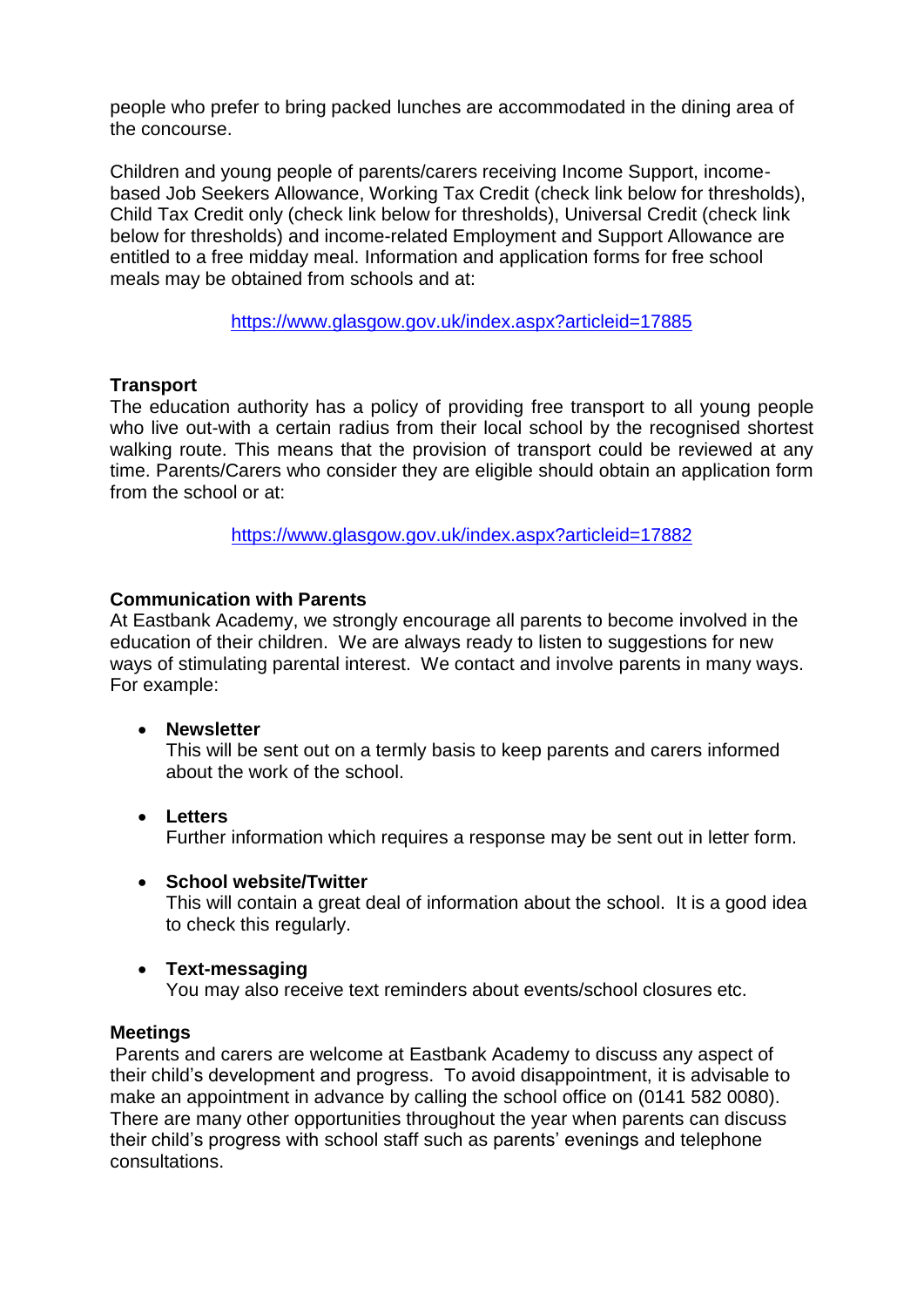people who prefer to bring packed lunches are accommodated in the dining area of the concourse.

Children and young people of parents/carers receiving Income Support, incomebased Job Seekers Allowance, Working Tax Credit (check link below for thresholds), Child Tax Credit only (check link below for thresholds), Universal Credit (check link below for thresholds) and income-related Employment and Support Allowance are entitled to a free midday meal. Information and application forms for free school meals may be obtained from schools and at:

<https://www.glasgow.gov.uk/index.aspx?articleid=17885>

# **Transport**

The education authority has a policy of providing free transport to all young people who live out-with a certain radius from their local school by the recognised shortest walking route. This means that the provision of transport could be reviewed at any time. Parents/Carers who consider they are eligible should obtain an application form from the school or at:

<https://www.glasgow.gov.uk/index.aspx?articleid=17882>

# **Communication with Parents**

At Eastbank Academy, we strongly encourage all parents to become involved in the education of their children. We are always ready to listen to suggestions for new ways of stimulating parental interest. We contact and involve parents in many ways. For example:

# **Newsletter**

This will be sent out on a termly basis to keep parents and carers informed about the work of the school.

 **Letters** Further information which requires a response may be sent out in letter form.

# **School website/Twitter**

This will contain a great deal of information about the school. It is a good idea to check this regularly.

# **Text-messaging**

You may also receive text reminders about events/school closures etc.

# **Meetings**

Parents and carers are welcome at Eastbank Academy to discuss any aspect of their child's development and progress. To avoid disappointment, it is advisable to make an appointment in advance by calling the school office on (0141 582 0080). There are many other opportunities throughout the year when parents can discuss their child's progress with school staff such as parents' evenings and telephone consultations.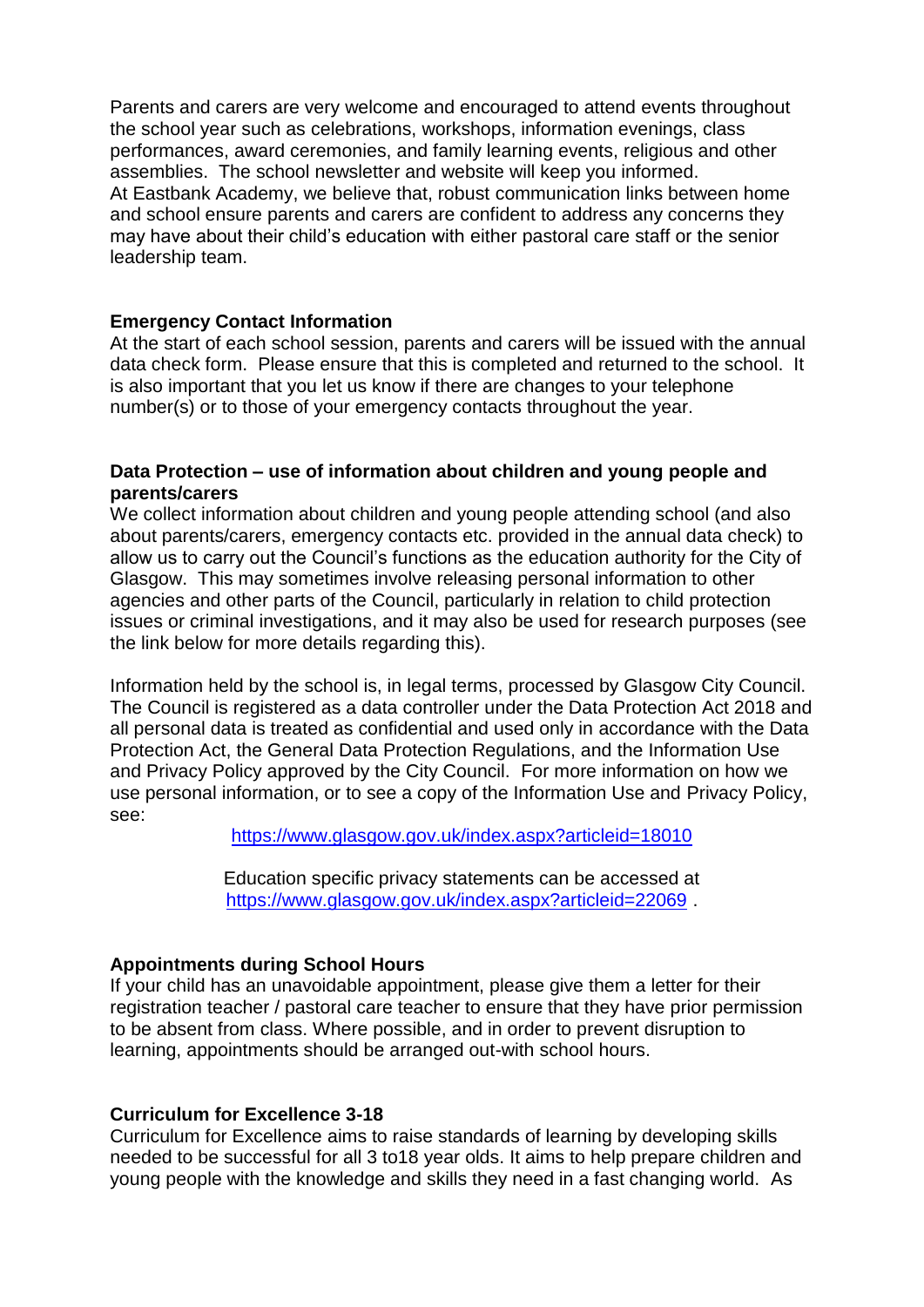Parents and carers are very welcome and encouraged to attend events throughout the school year such as celebrations, workshops, information evenings, class performances, award ceremonies, and family learning events, religious and other assemblies. The school newsletter and website will keep you informed. At Eastbank Academy, we believe that, robust communication links between home and school ensure parents and carers are confident to address any concerns they may have about their child's education with either pastoral care staff or the senior leadership team.

#### **Emergency Contact Information**

At the start of each school session, parents and carers will be issued with the annual data check form. Please ensure that this is completed and returned to the school. It is also important that you let us know if there are changes to your telephone number(s) or to those of your emergency contacts throughout the year.

#### **Data Protection – use of information about children and young people and parents/carers**

We collect information about children and young people attending school (and also about parents/carers, emergency contacts etc. provided in the annual data check) to allow us to carry out the Council's functions as the education authority for the City of Glasgow. This may sometimes involve releasing personal information to other agencies and other parts of the Council, particularly in relation to child protection issues or criminal investigations, and it may also be used for research purposes (see the link below for more details regarding this).

Information held by the school is, in legal terms, processed by Glasgow City Council. The Council is registered as a data controller under the Data Protection Act 2018 and all personal data is treated as confidential and used only in accordance with the Data Protection Act, the General Data Protection Regulations, and the Information Use and Privacy Policy approved by the City Council. For more information on how we use personal information, or to see a copy of the Information Use and Privacy Policy, see:

<https://www.glasgow.gov.uk/index.aspx?articleid=18010>

Education specific privacy statements can be accessed at <https://www.glasgow.gov.uk/index.aspx?articleid=22069> .

# **Appointments during School Hours**

If your child has an unavoidable appointment, please give them a letter for their registration teacher / pastoral care teacher to ensure that they have prior permission to be absent from class. Where possible, and in order to prevent disruption to learning, appointments should be arranged out-with school hours.

#### **Curriculum for Excellence 3-18**

Curriculum for Excellence aims to raise standards of learning by developing skills needed to be successful for all 3 to18 year olds. It aims to help prepare children and young people with the knowledge and skills they need in a fast changing world. As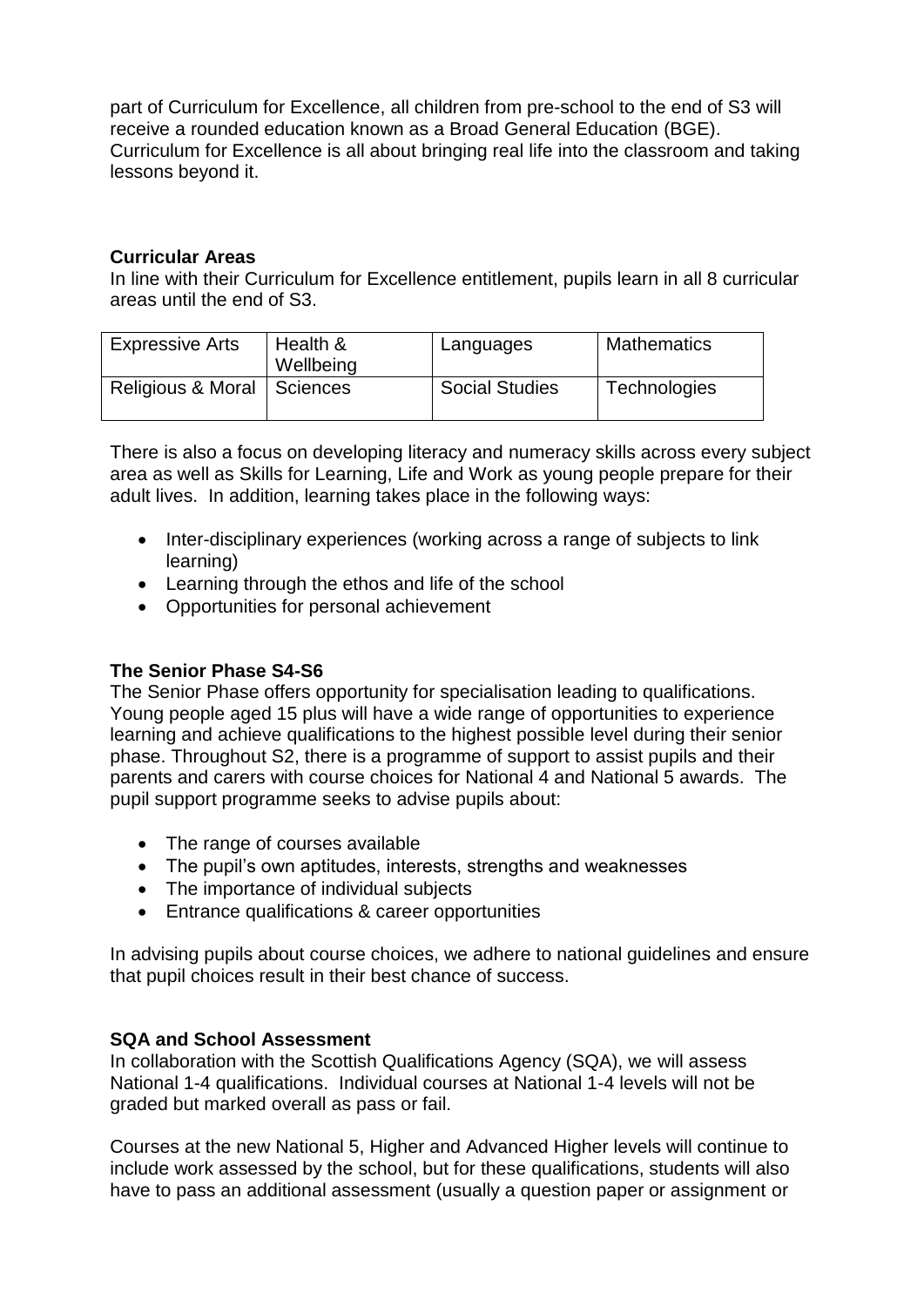part of Curriculum for Excellence, all children from pre-school to the end of S3 will receive a rounded education known as a Broad General Education (BGE). Curriculum for Excellence is all about bringing real life into the classroom and taking lessons beyond it.

# **Curricular Areas**

In line with their Curriculum for Excellence entitlement, pupils learn in all 8 curricular areas until the end of S3.

| <b>Expressive Arts</b>       | Health &<br>Wellbeing | Languages             | <b>Mathematics</b>  |
|------------------------------|-----------------------|-----------------------|---------------------|
| Religious & Moral   Sciences |                       | <b>Social Studies</b> | <b>Technologies</b> |

There is also a focus on developing literacy and numeracy skills across every subject area as well as Skills for Learning, Life and Work as young people prepare for their adult lives. In addition, learning takes place in the following ways:

- Inter-disciplinary experiences (working across a range of subjects to link learning)
- Learning through the ethos and life of the school
- Opportunities for personal achievement

# **The Senior Phase S4-S6**

The Senior Phase offers opportunity for specialisation leading to qualifications. Young people aged 15 plus will have a wide range of opportunities to experience learning and achieve qualifications to the highest possible level during their senior phase. Throughout S2, there is a programme of support to assist pupils and their parents and carers with course choices for National 4 and National 5 awards. The pupil support programme seeks to advise pupils about:

- The range of courses available
- The pupil's own aptitudes, interests, strengths and weaknesses
- The importance of individual subjects
- Entrance qualifications & career opportunities

In advising pupils about course choices, we adhere to national guidelines and ensure that pupil choices result in their best chance of success.

# **SQA and School Assessment**

In collaboration with the Scottish Qualifications Agency (SQA), we will assess National 1-4 qualifications. Individual courses at National 1-4 levels will not be graded but marked overall as pass or fail.

Courses at the new National 5, Higher and Advanced Higher levels will continue to include work assessed by the school, but for these qualifications, students will also have to pass an additional assessment (usually a question paper or assignment or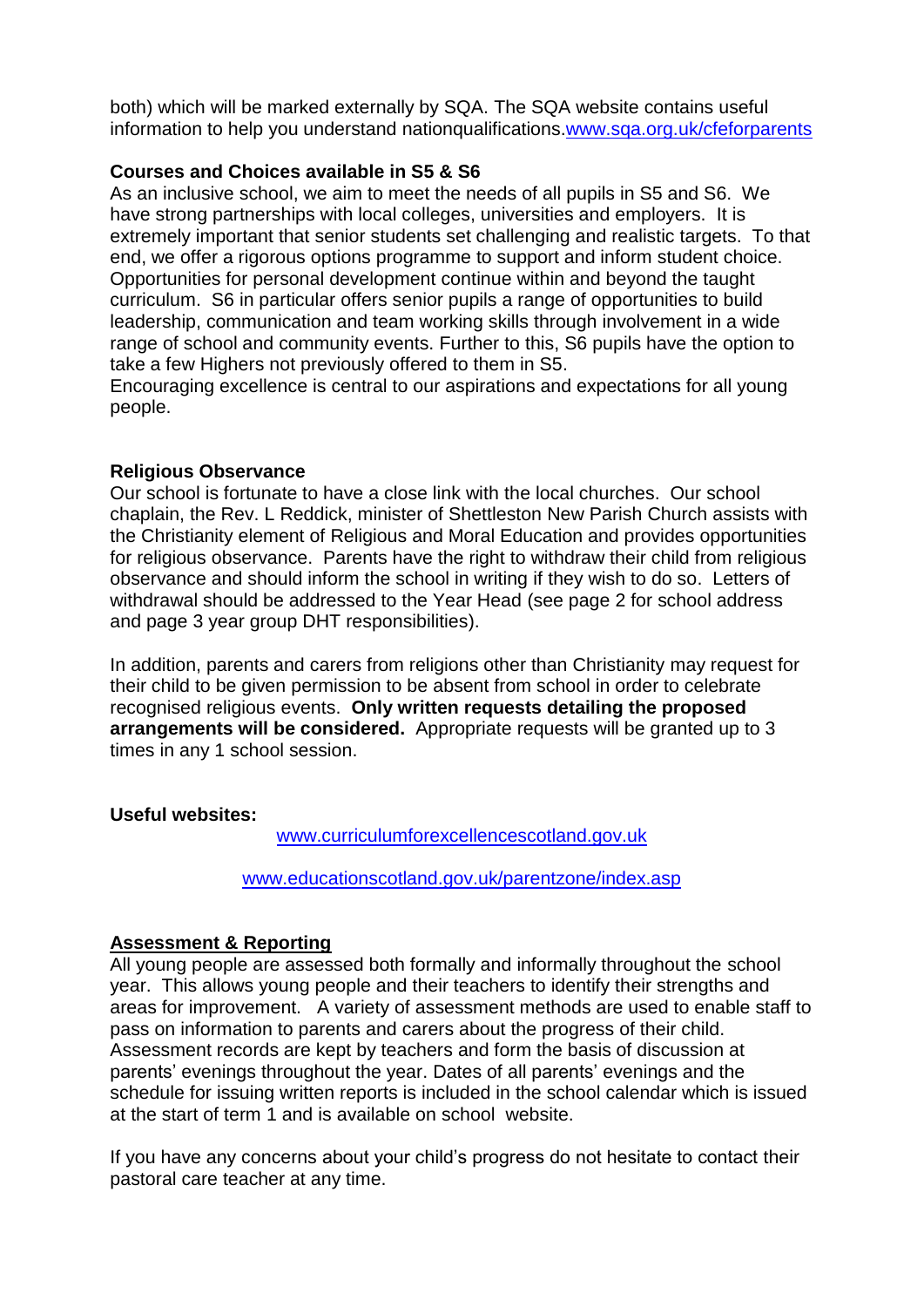both) which will be marked externally by SQA. The SQA website contains useful information to help you understand nationqualifications[.www.sqa.org.uk/cfeforparents](http://www.sqa.org.uk/cfeforparents)

# **Courses and Choices available in S5 & S6**

As an inclusive school, we aim to meet the needs of all pupils in S5 and S6. We have strong partnerships with local colleges, universities and employers. It is extremely important that senior students set challenging and realistic targets. To that end, we offer a rigorous options programme to support and inform student choice. Opportunities for personal development continue within and beyond the taught curriculum. S6 in particular offers senior pupils a range of opportunities to build leadership, communication and team working skills through involvement in a wide range of school and community events. Further to this, S6 pupils have the option to take a few Highers not previously offered to them in S5.

Encouraging excellence is central to our aspirations and expectations for all young people.

# **Religious Observance**

Our school is fortunate to have a close link with the local churches. Our school chaplain, the Rev. L Reddick, minister of Shettleston New Parish Church assists with the Christianity element of Religious and Moral Education and provides opportunities for religious observance. Parents have the right to withdraw their child from religious observance and should inform the school in writing if they wish to do so. Letters of withdrawal should be addressed to the Year Head (see page 2 for school address and page 3 year group DHT responsibilities).

In addition, parents and carers from religions other than Christianity may request for their child to be given permission to be absent from school in order to celebrate recognised religious events. **Only written requests detailing the proposed arrangements will be considered.** Appropriate requests will be granted up to 3 times in any 1 school session.

# **Useful websites:**

[www.curriculumforexcellencescotland.gov.uk](http://www.curriculumforexcellencescotland.gov.uk/)

[www.educationscotland.gov.uk/parentzone/index.asp](http://www.educationscotland.gov.uk/parentzone/index.asp)

# **Assessment & Reporting**

All young people are assessed both formally and informally throughout the school year. This allows young people and their teachers to identify their strengths and areas for improvement. A variety of assessment methods are used to enable staff to pass on information to parents and carers about the progress of their child. Assessment records are kept by teachers and form the basis of discussion at parents' evenings throughout the year. Dates of all parents' evenings and the schedule for issuing written reports is included in the school calendar which is issued at the start of term 1 and is available on school website.

If you have any concerns about your child's progress do not hesitate to contact their pastoral care teacher at any time.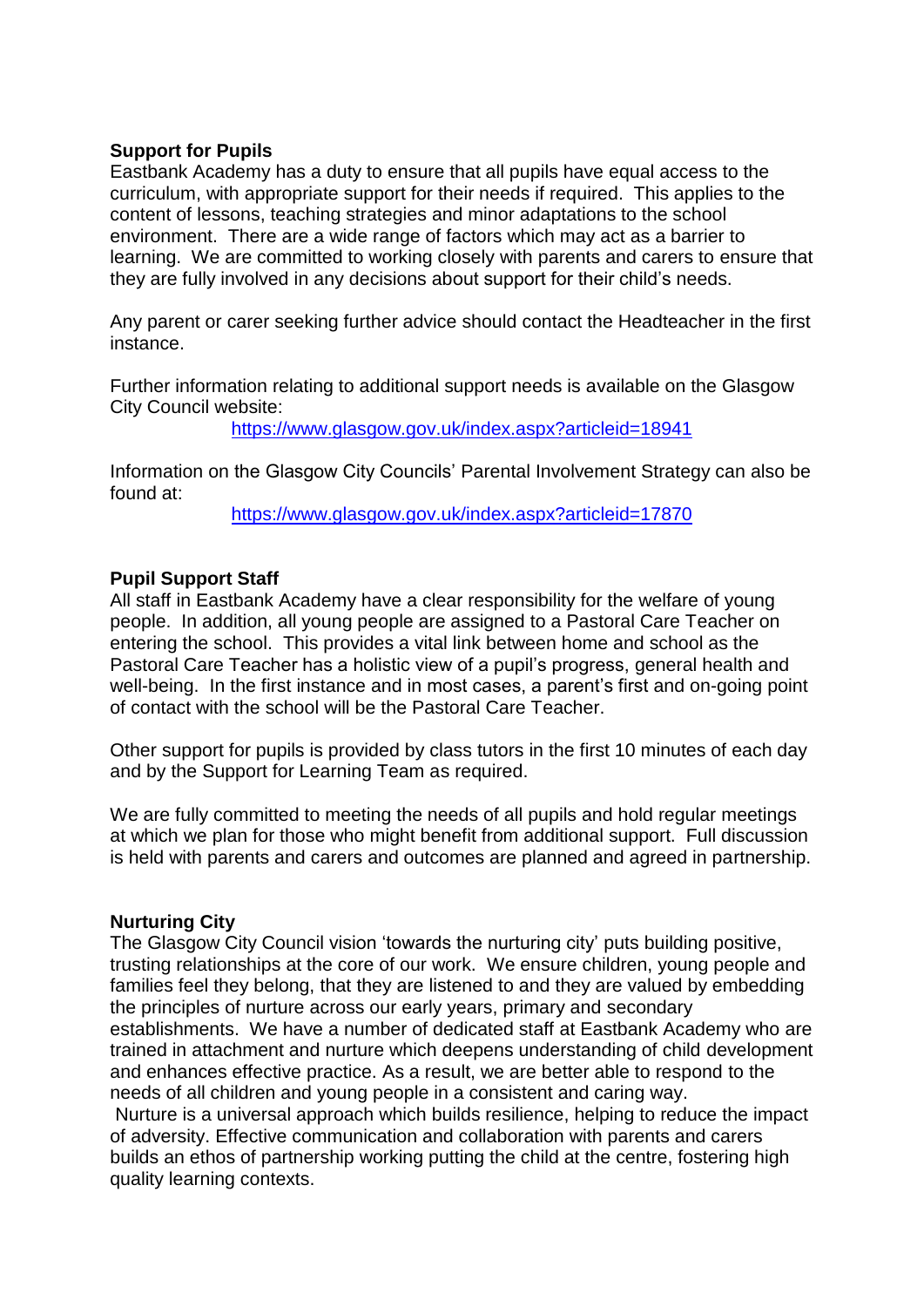#### **Support for Pupils**

Eastbank Academy has a duty to ensure that all pupils have equal access to the curriculum, with appropriate support for their needs if required. This applies to the content of lessons, teaching strategies and minor adaptations to the school environment. There are a wide range of factors which may act as a barrier to learning. We are committed to working closely with parents and carers to ensure that they are fully involved in any decisions about support for their child's needs.

Any parent or carer seeking further advice should contact the Headteacher in the first instance.

Further information relating to additional support needs is available on the Glasgow City Council website:

<https://www.glasgow.gov.uk/index.aspx?articleid=18941>

Information on the Glasgow City Councils' Parental Involvement Strategy can also be found at:

<https://www.glasgow.gov.uk/index.aspx?articleid=17870>

# **Pupil Support Staff**

All staff in Eastbank Academy have a clear responsibility for the welfare of young people. In addition, all young people are assigned to a Pastoral Care Teacher on entering the school. This provides a vital link between home and school as the Pastoral Care Teacher has a holistic view of a pupil's progress, general health and well-being. In the first instance and in most cases, a parent's first and on-going point of contact with the school will be the Pastoral Care Teacher.

Other support for pupils is provided by class tutors in the first 10 minutes of each day and by the Support for Learning Team as required.

We are fully committed to meeting the needs of all pupils and hold regular meetings at which we plan for those who might benefit from additional support. Full discussion is held with parents and carers and outcomes are planned and agreed in partnership.

#### **Nurturing City**

The Glasgow City Council vision 'towards the nurturing city' puts building positive, trusting relationships at the core of our work. We ensure children, young people and families feel they belong, that they are listened to and they are valued by embedding the principles of nurture across our early years, primary and secondary establishments. We have a number of dedicated staff at Eastbank Academy who are trained in attachment and nurture which deepens understanding of child development and enhances effective practice. As a result, we are better able to respond to the needs of all children and young people in a consistent and caring way.

Nurture is a universal approach which builds resilience, helping to reduce the impact of adversity. Effective communication and collaboration with parents and carers builds an ethos of partnership working putting the child at the centre, fostering high quality learning contexts.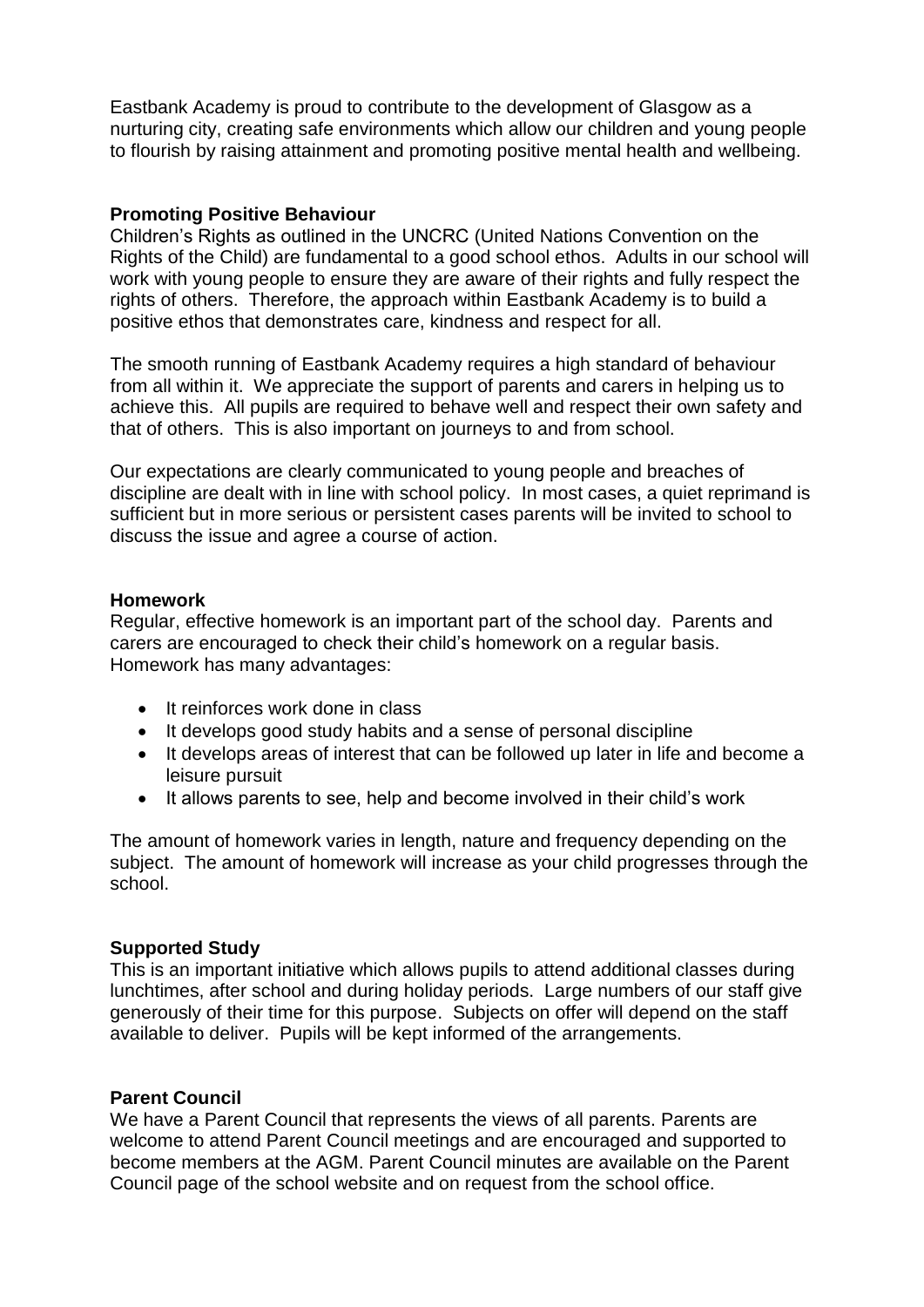Eastbank Academy is proud to contribute to the development of Glasgow as a nurturing city, creating safe environments which allow our children and young people to flourish by raising attainment and promoting positive mental health and wellbeing.

#### **Promoting Positive Behaviour**

Children's Rights as outlined in the UNCRC (United Nations Convention on the Rights of the Child) are fundamental to a good school ethos. Adults in our school will work with young people to ensure they are aware of their rights and fully respect the rights of others. Therefore, the approach within Eastbank Academy is to build a positive ethos that demonstrates care, kindness and respect for all.

The smooth running of Eastbank Academy requires a high standard of behaviour from all within it. We appreciate the support of parents and carers in helping us to achieve this. All pupils are required to behave well and respect their own safety and that of others. This is also important on journeys to and from school.

Our expectations are clearly communicated to young people and breaches of discipline are dealt with in line with school policy. In most cases, a quiet reprimand is sufficient but in more serious or persistent cases parents will be invited to school to discuss the issue and agree a course of action.

#### **Homework**

Regular, effective homework is an important part of the school day. Parents and carers are encouraged to check their child's homework on a regular basis. Homework has many advantages:

- It reinforces work done in class
- It develops good study habits and a sense of personal discipline
- It develops areas of interest that can be followed up later in life and become a leisure pursuit
- It allows parents to see, help and become involved in their child's work

The amount of homework varies in length, nature and frequency depending on the subject. The amount of homework will increase as your child progresses through the school.

# **Supported Study**

This is an important initiative which allows pupils to attend additional classes during lunchtimes, after school and during holiday periods. Large numbers of our staff give generously of their time for this purpose. Subjects on offer will depend on the staff available to deliver. Pupils will be kept informed of the arrangements.

# **Parent Council**

We have a Parent Council that represents the views of all parents. Parents are welcome to attend Parent Council meetings and are encouraged and supported to become members at the AGM. Parent Council minutes are available on the Parent Council page of the school website and on request from the school office.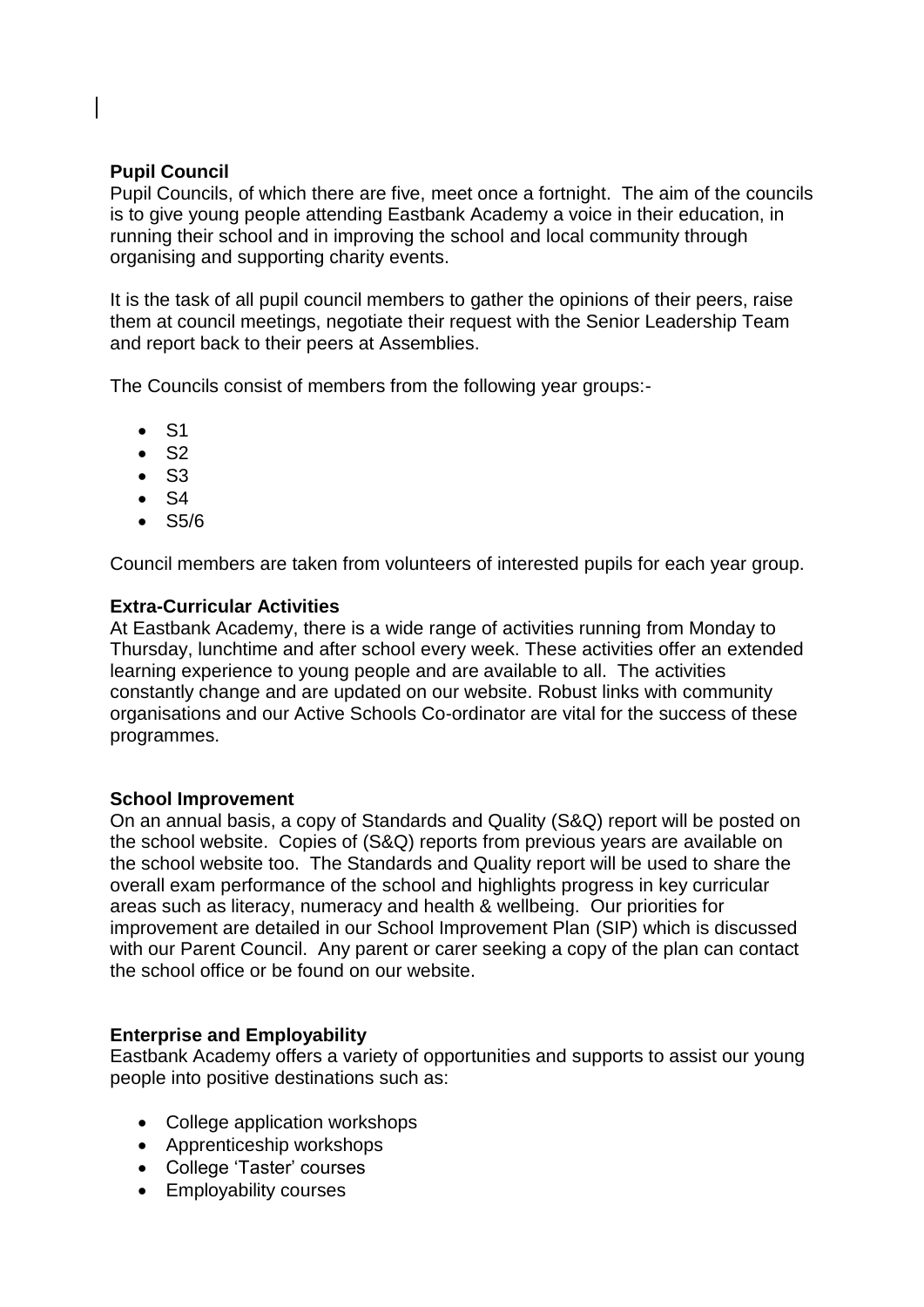# **Pupil Council**

Pupil Councils, of which there are five, meet once a fortnight. The aim of the councils is to give young people attending Eastbank Academy a voice in their education, in running their school and in improving the school and local community through organising and supporting charity events.

It is the task of all pupil council members to gather the opinions of their peers, raise them at council meetings, negotiate their request with the Senior Leadership Team and report back to their peers at Assemblies.

The Councils consist of members from the following year groups:-

- $\bullet$  S1
- $\bullet$  S<sub>2</sub>
- $\bullet$  S<sub>3</sub>
- $\bullet$  S4
- $\cdot$  S5/6

Council members are taken from volunteers of interested pupils for each year group.

#### **Extra-Curricular Activities**

At Eastbank Academy, there is a wide range of activities running from Monday to Thursday, lunchtime and after school every week. These activities offer an extended learning experience to young people and are available to all. The activities constantly change and are updated on our website. Robust links with community organisations and our Active Schools Co-ordinator are vital for the success of these programmes.

#### **School Improvement**

On an annual basis, a copy of Standards and Quality (S&Q) report will be posted on the school website. Copies of (S&Q) reports from previous years are available on the school website too. The Standards and Quality report will be used to share the overall exam performance of the school and highlights progress in key curricular areas such as literacy, numeracy and health & wellbeing. Our priorities for improvement are detailed in our School Improvement Plan (SIP) which is discussed with our Parent Council. Any parent or carer seeking a copy of the plan can contact the school office or be found on our website.

#### **Enterprise and Employability**

Eastbank Academy offers a variety of opportunities and supports to assist our young people into positive destinations such as:

- College application workshops
- Apprenticeship workshops
- College 'Taster' courses
- Employability courses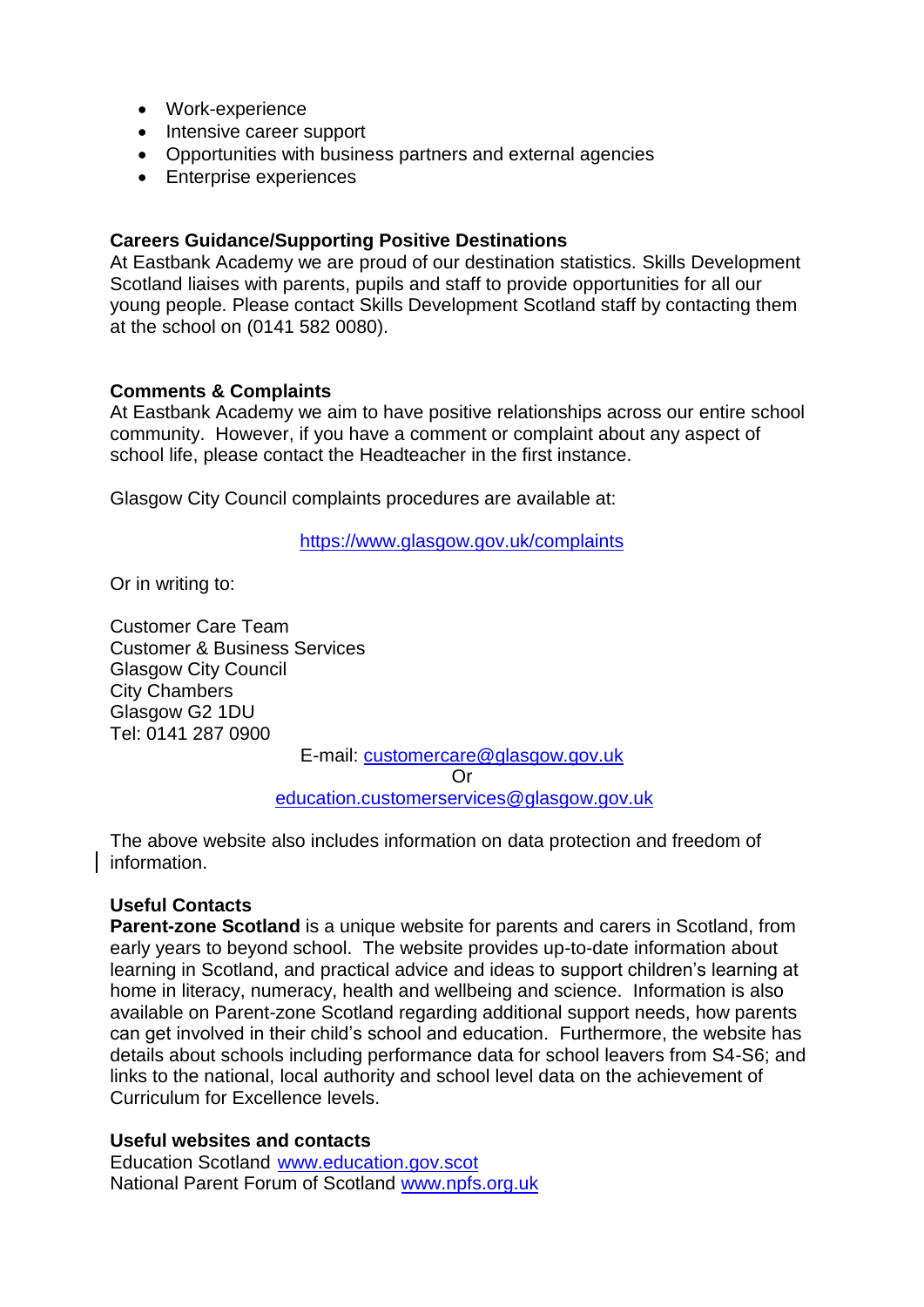- Work-experience
- Intensive career support
- Opportunities with business partners and external agencies
- Enterprise experiences

#### **Careers Guidance/Supporting Positive Destinations**

At Eastbank Academy we are proud of our destination statistics. Skills Development Scotland liaises with parents, pupils and staff to provide opportunities for all our young people. Please contact Skills Development Scotland staff by contacting them at the school on (0141 582 0080).

#### **Comments & Complaints**

At Eastbank Academy we aim to have positive relationships across our entire school community. However, if you have a comment or complaint about any aspect of school life, please contact the Headteacher in the first instance.

Glasgow City Council complaints procedures are available at:

<https://www.glasgow.gov.uk/complaints>

Or in writing to:

Customer Care Team Customer & Business Services Glasgow City Council City Chambers Glasgow G2 1DU Tel: 0141 287 0900

E-mail: [customercare@glasgow.gov.uk](mailto:customercare@glasgow.gov.uk)

Or

[education.customerservices@glasgow.gov.uk](mailto:education.customerservices@glasgow.gov.uk)

The above website also includes information on data protection and freedom of information.

# **Useful Contacts**

**Parent-zone Scotland** is a unique website for parents and carers in Scotland, from early years to beyond school. The website provides up-to-date information about learning in Scotland, and practical advice and ideas to support children's learning at home in literacy, numeracy, health and wellbeing and science. Information is also available on Parent-zone Scotland regarding additional support needs, how parents can get involved in their child's school and education. Furthermore, the website has details about schools including performance data for school leavers from S4-S6; and links to the national, local authority and school level data on the achievement of Curriculum for Excellence levels.

#### **Useful websites and contacts**

Education Scotland [www.education.gov.scot](http://www.education.gov.scot/) National Parent Forum of Scotland [www.npfs.org.uk](http://www.npfs.org.uk/)